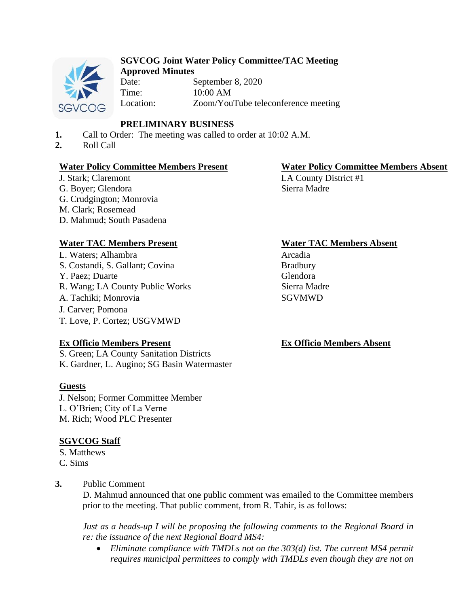

#### **SGVCOG Joint Water Policy Committee/TAC Meeting Approved Minutes**

Date: September 8, 2020 Time: 10:00 AM Location: Zoom/YouTube teleconference meeting

# **PRELIMINARY BUSINESS**

- **1.** Call to Order: The meeting was called to order at 10:02 A.M.
- **2.** Roll Call

## **Water Policy Committee Members Present Water Policy Committee Members Absent**

J. Stark; Claremont G. Boyer; Glendora G. Crudgington; Monrovia M. Clark; Rosemead D. Mahmud; South Pasadena

L. Waters; Alhambra S. Costandi, S. Gallant; Covina Y. Paez; Duarte R. Wang; LA County Public Works Sierra Madre A. Tachiki; Monrovia SGVMWD J. Carver; Pomona T. Love, P. Cortez; USGVMWD

## **Ex Officio Members Present**

S. Green; LA County Sanitation Districts K. Gardner, L. Augino; SG Basin Watermaster

## **Guests**

J. Nelson; Former Committee Member L. O'Brien; City of La Verne M. Rich; Wood PLC Presenter

# **SGVCOG Staff**

S. Matthews C. Sims

## **3.** Public Comment

D. Mahmud announced that one public comment was emailed to the Committee members prior to the meeting. That public comment, from R. Tahir, is as follows:

*Just as a heads-up I will be proposing the following comments to the Regional Board in re: the issuance of the next Regional Board MS4:* 

• *Eliminate compliance with TMDLs not on the 303(d) list. The current MS4 permit requires municipal permittees to comply with TMDLs even though they are not on* 

LA County District #1 Sierra Madre

## **Water TAC Members Present Water TAC Members Absent**

Arcadia Bradbury Glendora

## **Ex Officio Members Absent**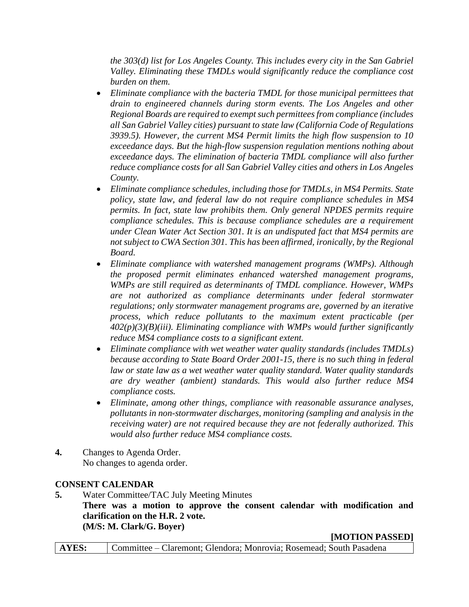*the 303(d) list for Los Angeles County. This includes every city in the San Gabriel Valley. Eliminating these TMDLs would significantly reduce the compliance cost burden on them.* 

- *Eliminate compliance with the bacteria TMDL for those municipal permittees that drain to engineered channels during storm events. The Los Angeles and other Regional Boards are required to exempt such permittees from compliance (includes all San Gabriel Valley cities) pursuant to state law (California Code of Regulations 3939.5). However, the current MS4 Permit limits the high flow suspension to 10 exceedance days. But the high-flow suspension regulation mentions nothing about exceedance days. The elimination of bacteria TMDL compliance will also further reduce compliance costs for all San Gabriel Valley cities and others in Los Angeles County.*
- *Eliminate compliance schedules, including those for TMDLs, in MS4 Permits. State policy, state law, and federal law do not require compliance schedules in MS4 permits. In fact, state law prohibits them. Only general NPDES permits require compliance schedules. This is because compliance schedules are a requirement under Clean Water Act Section 301. It is an undisputed fact that MS4 permits are not subject to CWA Section 301. This has been affirmed, ironically, by the Regional Board.*
- *Eliminate compliance with watershed management programs (WMPs). Although the proposed permit eliminates enhanced watershed management programs, WMPs are still required as determinants of TMDL compliance. However, WMPs are not authorized as compliance determinants under federal stormwater regulations; only stormwater management programs are, governed by an iterative process, which reduce pollutants to the maximum extent practicable (per 402(p)(3)(B)(iii). Eliminating compliance with WMPs would further significantly reduce MS4 compliance costs to a significant extent.*
- *Eliminate compliance with wet weather water quality standards (includes TMDLs) because according to State Board Order 2001-15, there is no such thing in federal law or state law as a wet weather water quality standard. Water quality standards are dry weather (ambient) standards. This would also further reduce MS4 compliance costs.*
- *Eliminate, among other things, compliance with reasonable assurance analyses, pollutants in non-stormwater discharges, monitoring (sampling and analysis in the receiving water) are not required because they are not federally authorized. This would also further reduce MS4 compliance costs.*
- **4.** Changes to Agenda Order. No changes to agenda order.

## **CONSENT CALENDAR**

**5.** Water Committee/TAC July Meeting Minutes **There was a motion to approve the consent calendar with modification and clarification on the H.R. 2 vote. (M/S: M. Clark/G. Boyer)**

**[MOTION PASSED]**

**AYES:** Committee – Claremont; Glendora; Monrovia; Rosemead; South Pasadena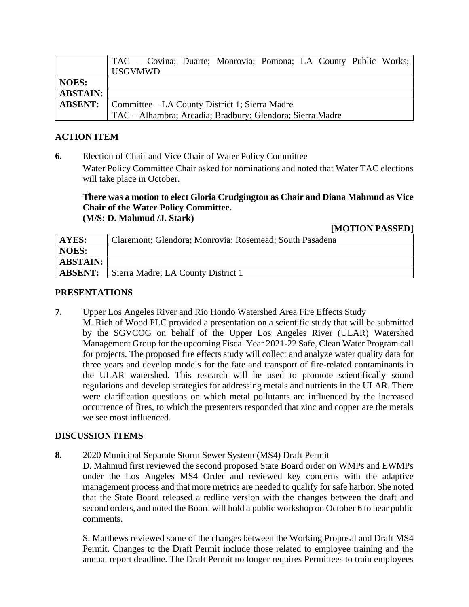|                 | TAC - Covina; Duarte; Monrovia; Pomona; LA County Public Works; |
|-----------------|-----------------------------------------------------------------|
|                 | <b>USGVMWD</b>                                                  |
| <b>NOES:</b>    |                                                                 |
| <b>ABSTAIN:</b> |                                                                 |
|                 | <b>ABSENT:</b>   Committee – LA County District 1; Sierra Madre |
|                 | TAC – Alhambra; Arcadia; Bradbury; Glendora; Sierra Madre       |

## **ACTION ITEM**

**6.** Election of Chair and Vice Chair of Water Policy Committee Water Policy Committee Chair asked for nominations and noted that Water TAC elections will take place in October.

#### **There was a motion to elect Gloria Crudgington as Chair and Diana Mahmud as Vice Chair of the Water Policy Committee. (M/S: D. Mahmud /J. Stark)**

#### **[MOTION PASSED]**

| AYES:           | Claremont; Glendora; Monrovia: Rosemead; South Pasadena |
|-----------------|---------------------------------------------------------|
| <b>NOES:</b>    |                                                         |
| <b>ABSTAIN:</b> |                                                         |
| <b>ABSENT:</b>  | Sierra Madre; LA County District 1                      |

#### **PRESENTATIONS**

**7.** Upper Los Angeles River and Rio Hondo Watershed Area Fire Effects Study M. Rich of Wood PLC provided a presentation on a scientific study that will be submitted by the SGVCOG on behalf of the Upper Los Angeles River (ULAR) Watershed Management Group for the upcoming Fiscal Year 2021-22 Safe, Clean Water Program call for projects. The proposed fire effects study will collect and analyze water quality data for three years and develop models for the fate and transport of fire-related contaminants in the ULAR watershed. This research will be used to promote scientifically sound regulations and develop strategies for addressing metals and nutrients in the ULAR. There were clarification questions on which metal pollutants are influenced by the increased occurrence of fires, to which the presenters responded that zinc and copper are the metals we see most influenced.

## **DISCUSSION ITEMS**

**8.** 2020 Municipal Separate Storm Sewer System (MS4) Draft Permit

D. Mahmud first reviewed the second proposed State Board order on WMPs and EWMPs under the Los Angeles MS4 Order and reviewed key concerns with the adaptive management process and that more metrics are needed to qualify for safe harbor. She noted that the State Board released a redline version with the changes between the draft and second orders, and noted the Board will hold a public workshop on October 6 to hear public comments.

S. Matthews reviewed some of the changes between the Working Proposal and Draft MS4 Permit. Changes to the Draft Permit include those related to employee training and the annual report deadline. The Draft Permit no longer requires Permittees to train employees